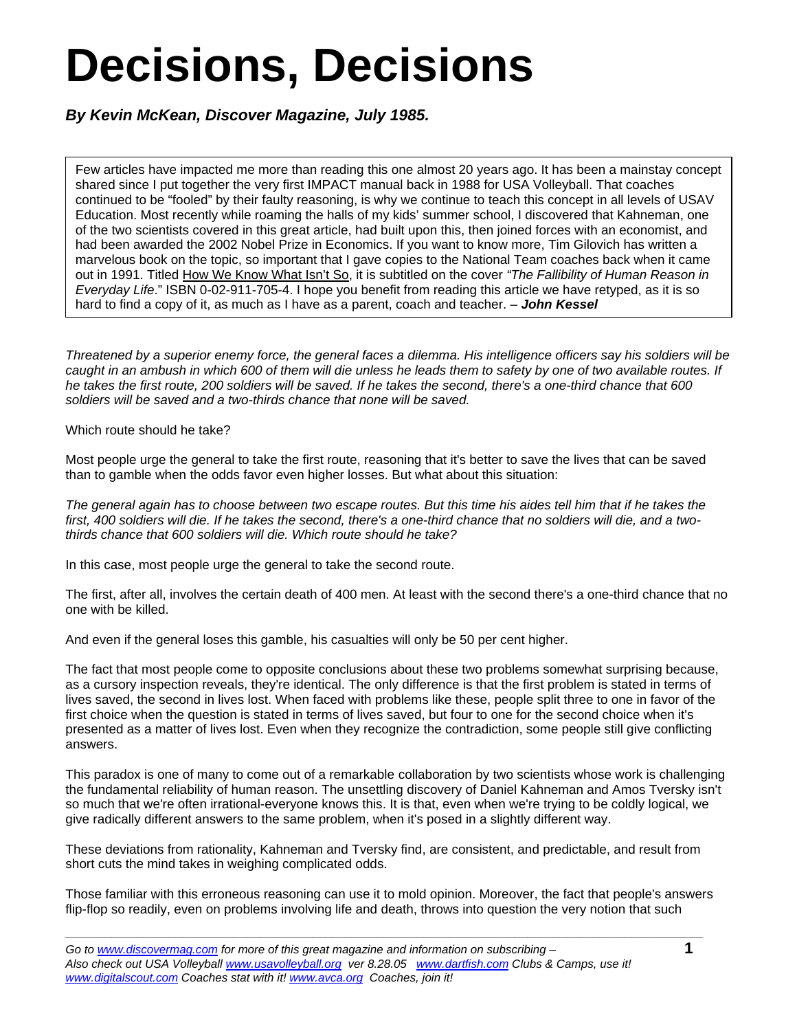## **Decisions, Decisions**

*By Kevin McKean, Discover Magazine, July 1985.* 

Few articles have impacted me more than reading this one almost 20 years ago. It has been a mainstay concept shared since I put together the very first IMPACT manual back in 1988 for USA Volleyball. That coaches continued to be "fooled" by their faulty reasoning, is why we continue to teach this concept in all levels of USAV Education. Most recently while roaming the halls of my kids' summer school, I discovered that Kahneman, one of the two scientists covered in this great article, had built upon this, then joined forces with an economist, and had been awarded the 2002 Nobel Prize in Economics. If you want to know more, Tim Gilovich has written a marvelous book on the topic, so important that I gave copies to the National Team coaches back when it came out in 1991. Titled How We Know What Isn't So, it is subtitled on the cover *"The Fallibility of Human Reason in Everyday Life*." ISBN 0-02-911-705-4. I hope you benefit from reading this article we have retyped, as it is so hard to find a copy of it, as much as I have as a parent, coach and teacher. – *John Kessel*

*Threatened by a superior enemy force, the general faces a dilemma. His intelligence officers say his soldiers will be caught in an ambush in which 600 of them will die unless he leads them to safety by one of two available routes. If he takes the first route, 200 soldiers will be saved. If he takes the second, there's a one-third chance that 600 soldiers will be saved and a two-thirds chance that none will be saved.* 

Which route should he take?

Most people urge the general to take the first route, reasoning that it's better to save the lives that can be saved than to gamble when the odds favor even higher losses. But what about this situation:

*The general again has to choose between two escape routes. But this time his aides tell him that if he takes the first, 400 soldiers will die. If he takes the second, there's a one-third chance that no soldiers will die, and a twothirds chance that 600 soldiers will die. Which route should he take?* 

In this case, most people urge the general to take the second route.

The first, after all, involves the certain death of 400 men. At least with the second there's a one-third chance that no one with be killed.

And even if the general loses this gamble, his casualties will only be 50 per cent higher.

The fact that most people come to opposite conclusions about these two problems somewhat surprising because, as a cursory inspection reveals, they're identical. The only difference is that the first problem is stated in terms of lives saved, the second in lives lost. When faced with problems like these, people split three to one in favor of the first choice when the question is stated in terms of lives saved, but four to one for the second choice when it's presented as a matter of lives lost. Even when they recognize the contradiction, some people still give conflicting answers.

This paradox is one of many to come out of a remarkable collaboration by two scientists whose work is challenging the fundamental reliability of human reason. The unsettling discovery of Daniel Kahneman and Amos Tversky isn't so much that we're often irrational-everyone knows this. It is that, even when we're trying to be coldly logical, we give radically different answers to the same problem, when it's posed in a slightly different way.

These deviations from rationality, Kahneman and Tversky find, are consistent, and predictable, and result from short cuts the mind takes in weighing complicated odds.

Those familiar with this erroneous reasoning can use it to mold opinion. Moreover, the fact that people's answers flip-flop so readily, even on problems involving life and death, throws into question the very notion that such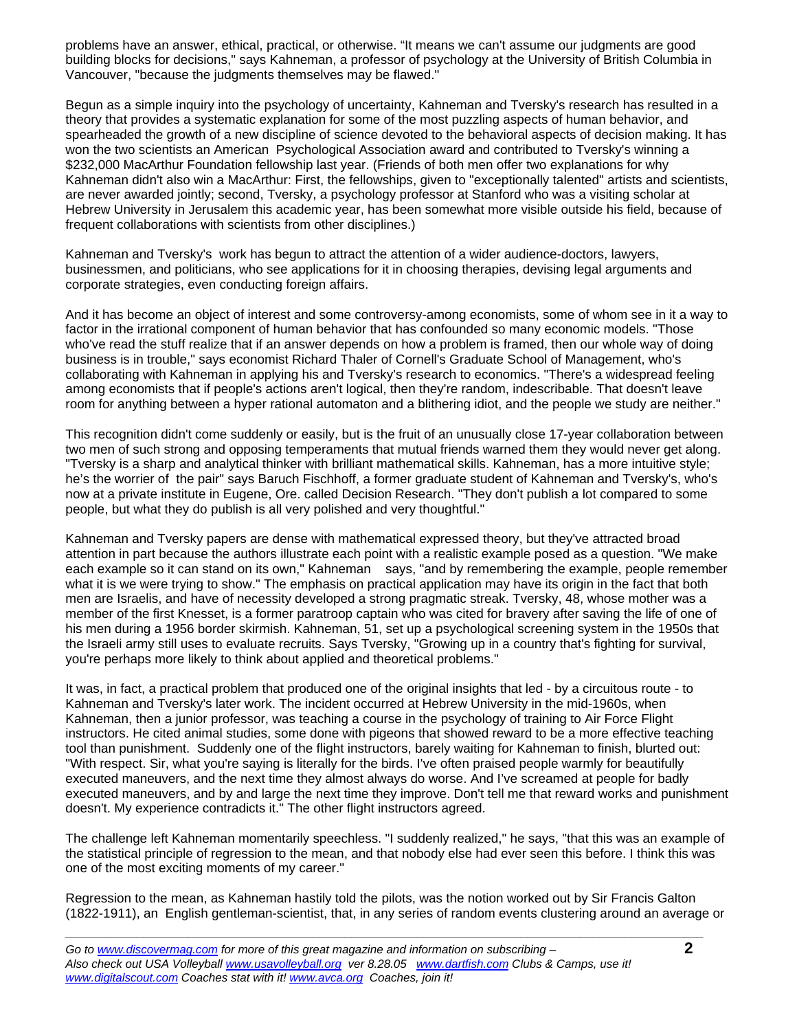problems have an answer, ethical, practical, or otherwise. "It means we can't assume our judgments are good building blocks for decisions," says Kahneman, a professor of psychology at the University of British Columbia in Vancouver, "because the judgments themselves may be flawed."

Begun as a simple inquiry into the psychology of uncertainty, Kahneman and Tversky's research has resulted in a theory that provides a systematic explanation for some of the most puzzling aspects of human behavior, and spearheaded the growth of a new discipline of science devoted to the behavioral aspects of decision making. It has won the two scientists an American Psychological Association award and contributed to Tversky's winning a \$232,000 MacArthur Foundation fellowship last year. (Friends of both men offer two explanations for why Kahneman didn't also win a MacArthur: First, the fellowships, given to "exceptionally talented" artists and scientists, are never awarded jointly; second, Tversky, a psychology professor at Stanford who was a visiting scholar at Hebrew University in Jerusalem this academic year, has been somewhat more visible outside his field, because of frequent collaborations with scientists from other disciplines.)

Kahneman and Tversky's work has begun to attract the attention of a wider audience-doctors, lawyers, businessmen, and politicians, who see applications for it in choosing therapies, devising legal arguments and corporate strategies, even conducting foreign affairs.

And it has become an object of interest and some controversy-among economists, some of whom see in it a way to factor in the irrational component of human behavior that has confounded so many economic models. "Those who've read the stuff realize that if an answer depends on how a problem is framed, then our whole way of doing business is in trouble," says economist Richard Thaler of Cornell's Graduate School of Management, who's collaborating with Kahneman in applying his and Tversky's research to economics. "There's a widespread feeling among economists that if people's actions aren't logical, then they're random, indescribable. That doesn't leave room for anything between a hyper rational automaton and a blithering idiot, and the people we study are neither."

This recognition didn't come suddenly or easily, but is the fruit of an unusually close 17-year collaboration between two men of such strong and opposing temperaments that mutual friends warned them they would never get along. "Tversky is a sharp and analytical thinker with brilliant mathematical skills. Kahneman, has a more intuitive style; he's the worrier of the pair" says Baruch Fischhoff, a former graduate student of Kahneman and Tversky's, who's now at a private institute in Eugene, Ore. called Decision Research. "They don't publish a lot compared to some people, but what they do publish is all very polished and very thoughtful."

Kahneman and Tversky papers are dense with mathematical expressed theory, but they've attracted broad attention in part because the authors illustrate each point with a realistic example posed as a question. "We make each example so it can stand on its own," Kahneman says, "and by remembering the example, people remember what it is we were trying to show." The emphasis on practical application may have its origin in the fact that both men are Israelis, and have of necessity developed a strong pragmatic streak. Tversky, 48, whose mother was a member of the first Knesset, is a former paratroop captain who was cited for bravery after saving the life of one of his men during a 1956 border skirmish. Kahneman, 51, set up a psychological screening system in the 1950s that the Israeli army still uses to evaluate recruits. Says Tversky, "Growing up in a country that's fighting for survival, you're perhaps more likely to think about applied and theoretical problems."

It was, in fact, a practical problem that produced one of the original insights that led - by a circuitous route - to Kahneman and Tversky's later work. The incident occurred at Hebrew University in the mid-1960s, when Kahneman, then a junior professor, was teaching a course in the psychology of training to Air Force Flight instructors. He cited animal studies, some done with pigeons that showed reward to be a more effective teaching tool than punishment. Suddenly one of the flight instructors, barely waiting for Kahneman to finish, blurted out: "With respect. Sir, what you're saying is literally for the birds. I've often praised people warmly for beautifully executed maneuvers, and the next time they almost always do worse. And I've screamed at people for badly executed maneuvers, and by and large the next time they improve. Don't tell me that reward works and punishment doesn't. My experience contradicts it." The other flight instructors agreed.

The challenge left Kahneman momentarily speechless. "I suddenly realized," he says, "that this was an example of the statistical principle of regression to the mean, and that nobody else had ever seen this before. I think this was one of the most exciting moments of my career."

Regression to the mean, as Kahneman hastily told the pilots, was the notion worked out by Sir Francis Galton (1822-1911), an English gentleman-scientist, that, in any series of random events clustering around an average or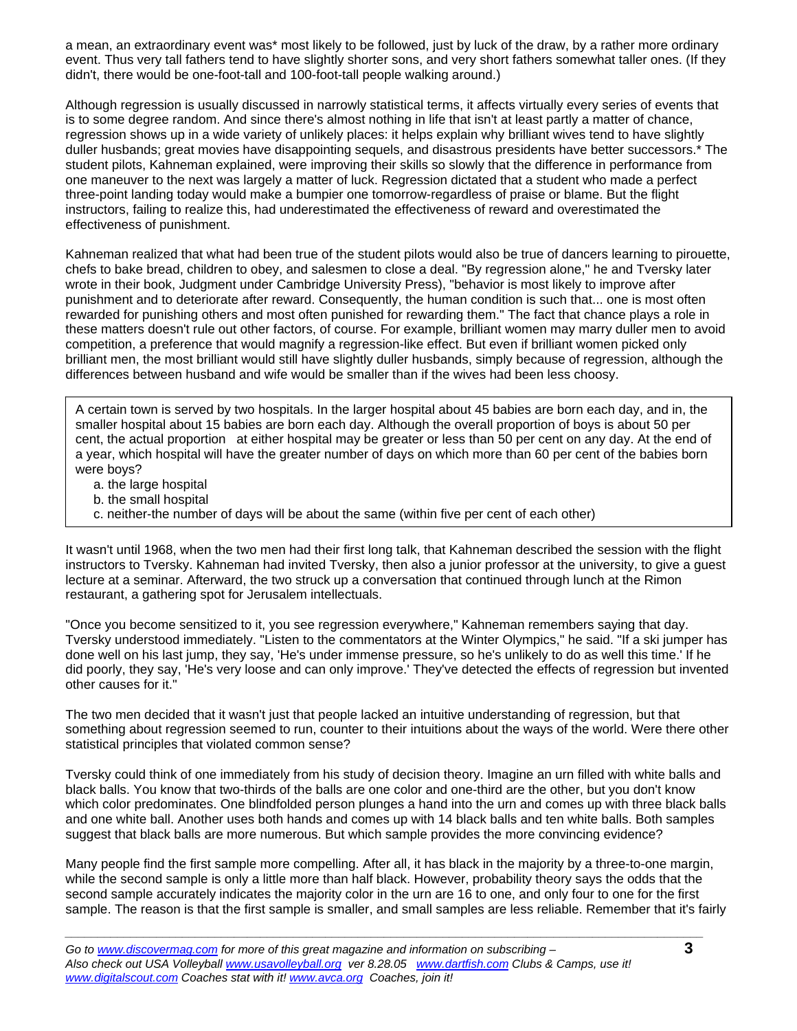a mean, an extraordinary event was\* most likely to be followed, just by luck of the draw, by a rather more ordinary event. Thus very tall fathers tend to have slightly shorter sons, and very short fathers somewhat taller ones. (If they didn't, there would be one-foot-tall and 100-foot-tall people walking around.)

Although regression is usually discussed in narrowly statistical terms, it affects virtually every series of events that is to some degree random. And since there's almost nothing in life that isn't at least partly a matter of chance, regression shows up in a wide variety of unlikely places: it helps explain why brilliant wives tend to have slightly duller husbands; great movies have disappointing sequels, and disastrous presidents have better successors.\* The student pilots, Kahneman explained, were improving their skills so slowly that the difference in performance from one maneuver to the next was largely a matter of luck. Regression dictated that a student who made a perfect three-point landing today would make a bumpier one tomorrow-regardless of praise or blame. But the flight instructors, failing to realize this, had underestimated the effectiveness of reward and overestimated the effectiveness of punishment.

Kahneman realized that what had been true of the student pilots would also be true of dancers learning to pirouette, chefs to bake bread, children to obey, and salesmen to close a deal. "By regression alone," he and Tversky later wrote in their book, Judgment under Cambridge University Press), "behavior is most likely to improve after punishment and to deteriorate after reward. Consequently, the human condition is such that... one is most often rewarded for punishing others and most often punished for rewarding them." The fact that chance plays a role in these matters doesn't rule out other factors, of course. For example, brilliant women may marry duller men to avoid competition, a preference that would magnify a regression-like effect. But even if brilliant women picked only brilliant men, the most brilliant would still have slightly duller husbands, simply because of regression, although the differences between husband and wife would be smaller than if the wives had been less choosy.

A certain town is served by two hospitals. In the larger hospital about 45 babies are born each day, and in, the smaller hospital about 15 babies are born each day. Although the overall proportion of boys is about 50 per cent, the actual proportion at either hospital may be greater or less than 50 per cent on any day. At the end of a year, which hospital will have the greater number of days on which more than 60 per cent of the babies born were boys?

- a. the large hospital
- b. the small hospital
- c. neither-the number of days will be about the same (within five per cent of each other)

It wasn't until 1968, when the two men had their first long talk, that Kahneman described the session with the flight instructors to Tversky. Kahneman had invited Tversky, then also a junior professor at the university, to give a guest lecture at a seminar. Afterward, the two struck up a conversation that continued through lunch at the Rimon restaurant, a gathering spot for Jerusalem intellectuals.

"Once you become sensitized to it, you see regression everywhere," Kahneman remembers saying that day. Tversky understood immediately. "Listen to the commentators at the Winter Olympics," he said. "If a ski jumper has done well on his last jump, they say, 'He's under immense pressure, so he's unlikely to do as well this time.' If he did poorly, they say, 'He's very loose and can only improve.' They've detected the effects of regression but invented other causes for it."

The two men decided that it wasn't just that people lacked an intuitive understanding of regression, but that something about regression seemed to run, counter to their intuitions about the ways of the world. Were there other statistical principles that violated common sense?

Tversky could think of one immediately from his study of decision theory. Imagine an urn filled with white balls and black balls. You know that two-thirds of the balls are one color and one-third are the other, but you don't know which color predominates. One blindfolded person plunges a hand into the urn and comes up with three black balls and one white ball. Another uses both hands and comes up with 14 black balls and ten white balls. Both samples suggest that black balls are more numerous. But which sample provides the more convincing evidence?

Many people find the first sample more compelling. After all, it has black in the majority by a three-to-one margin, while the second sample is only a little more than half black. However, probability theory says the odds that the second sample accurately indicates the majority color in the urn are 16 to one, and only four to one for the first sample. The reason is that the first sample is smaller, and small samples are less reliable. Remember that it's fairly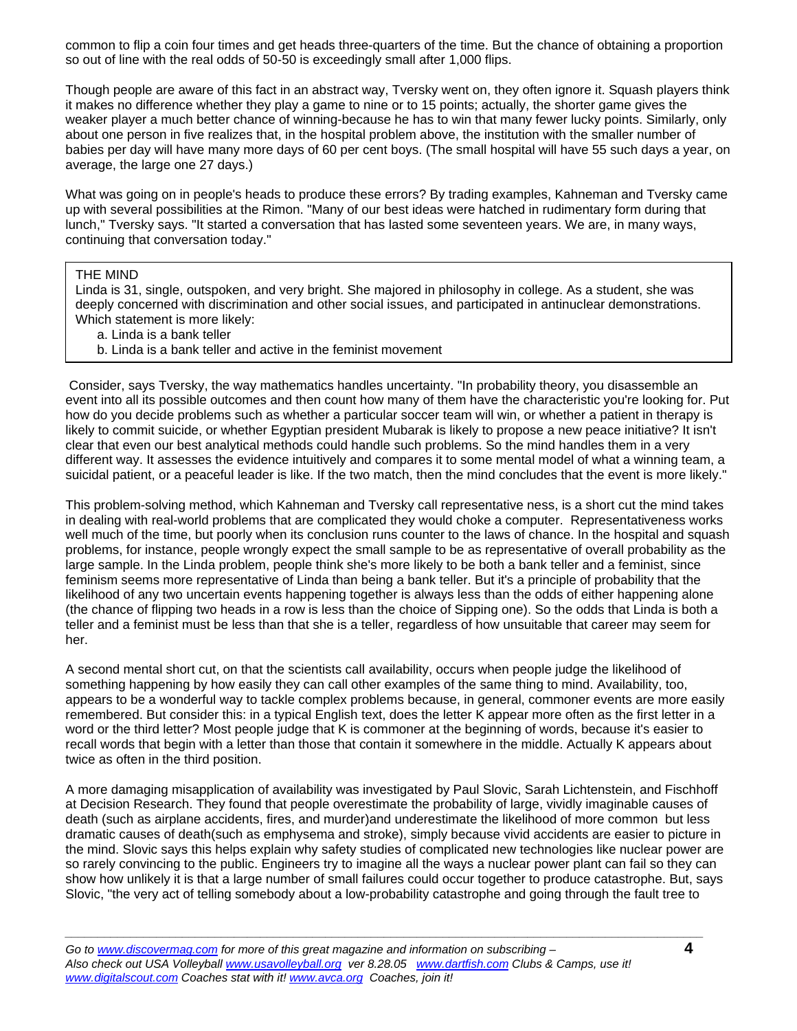common to flip a coin four times and get heads three-quarters of the time. But the chance of obtaining a proportion so out of line with the real odds of 50-50 is exceedingly small after 1,000 flips.

Though people are aware of this fact in an abstract way, Tversky went on, they often ignore it. Squash players think it makes no difference whether they play a game to nine or to 15 points; actually, the shorter game gives the weaker player a much better chance of winning-because he has to win that many fewer lucky points. Similarly, only about one person in five realizes that, in the hospital problem above, the institution with the smaller number of babies per day will have many more days of 60 per cent boys. (The small hospital will have 55 such days a year, on average, the large one 27 days.)

What was going on in people's heads to produce these errors? By trading examples, Kahneman and Tversky came up with several possibilities at the Rimon. "Many of our best ideas were hatched in rudimentary form during that lunch," Tversky says. "It started a conversation that has lasted some seventeen years. We are, in many ways, continuing that conversation today."

## THE MIND

Linda is 31, single, outspoken, and very bright. She majored in philosophy in college. As a student, she was deeply concerned with discrimination and other social issues, and participated in antinuclear demonstrations. Which statement is more likely:

- a. Linda is a bank teller
- b. Linda is a bank teller and active in the feminist movement

 Consider, says Tversky, the way mathematics handles uncertainty. "In probability theory, you disassemble an event into all its possible outcomes and then count how many of them have the characteristic you're looking for. Put how do you decide problems such as whether a particular soccer team will win, or whether a patient in therapy is likely to commit suicide, or whether Egyptian president Mubarak is likely to propose a new peace initiative? It isn't clear that even our best analytical methods could handle such problems. So the mind handles them in a very different way. It assesses the evidence intuitively and compares it to some mental model of what a winning team, a suicidal patient, or a peaceful leader is like. If the two match, then the mind concludes that the event is more likely."

This problem-solving method, which Kahneman and Tversky call representative ness, is a short cut the mind takes in dealing with real-world problems that are complicated they would choke a computer. Representativeness works well much of the time, but poorly when its conclusion runs counter to the laws of chance. In the hospital and squash problems, for instance, people wrongly expect the small sample to be as representative of overall probability as the large sample. In the Linda problem, people think she's more likely to be both a bank teller and a feminist, since feminism seems more representative of Linda than being a bank teller. But it's a principle of probability that the likelihood of any two uncertain events happening together is always less than the odds of either happening alone (the chance of flipping two heads in a row is less than the choice of Sipping one). So the odds that Linda is both a teller and a feminist must be less than that she is a teller, regardless of how unsuitable that career may seem for her.

A second mental short cut, on that the scientists call availability, occurs when people judge the likelihood of something happening by how easily they can call other examples of the same thing to mind. Availability, too, appears to be a wonderful way to tackle complex problems because, in general, commoner events are more easily remembered. But consider this: in a typical English text, does the letter K appear more often as the first letter in a word or the third letter? Most people judge that K is commoner at the beginning of words, because it's easier to recall words that begin with a letter than those that contain it somewhere in the middle. Actually K appears about twice as often in the third position.

A more damaging misapplication of availability was investigated by Paul Slovic, Sarah Lichtenstein, and Fischhoff at Decision Research. They found that people overestimate the probability of large, vividly imaginable causes of death (such as airplane accidents, fires, and murder)and underestimate the likelihood of more common but less dramatic causes of death(such as emphysema and stroke), simply because vivid accidents are easier to picture in the mind. Slovic says this helps explain why safety studies of complicated new technologies like nuclear power are so rarely convincing to the public. Engineers try to imagine all the ways a nuclear power plant can fail so they can show how unlikely it is that a large number of small failures could occur together to produce catastrophe. But, says Slovic, "the very act of telling somebody about a low-probability catastrophe and going through the fault tree to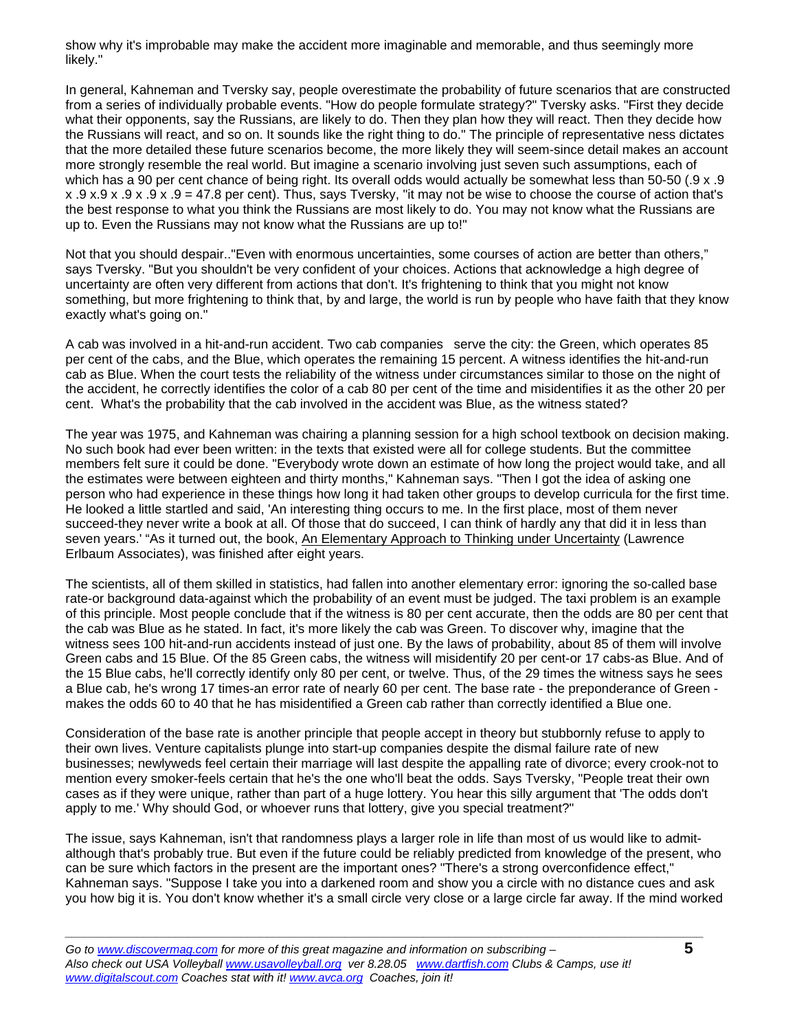show why it's improbable may make the accident more imaginable and memorable, and thus seemingly more likely."

In general, Kahneman and Tversky say, people overestimate the probability of future scenarios that are constructed from a series of individually probable events. "How do people formulate strategy?" Tversky asks. "First they decide what their opponents, say the Russians, are likely to do. Then they plan how they will react. Then they decide how the Russians will react, and so on. It sounds like the right thing to do." The principle of representative ness dictates that the more detailed these future scenarios become, the more likely they will seem-since detail makes an account more strongly resemble the real world. But imagine a scenario involving just seven such assumptions, each of which has a 90 per cent chance of being right. Its overall odds would actually be somewhat less than 50-50 (.9 x .9  $x.9 x.9 x.9 x.9 x.9 x.9 = 47.8$  per cent). Thus, says Tversky, "it may not be wise to choose the course of action that's the best response to what you think the Russians are most likely to do. You may not know what the Russians are up to. Even the Russians may not know what the Russians are up to!"

Not that you should despair.."Even with enormous uncertainties, some courses of action are better than others," says Tversky. "But you shouldn't be very confident of your choices. Actions that acknowledge a high degree of uncertainty are often very different from actions that don't. It's frightening to think that you might not know something, but more frightening to think that, by and large, the world is run by people who have faith that they know exactly what's going on."

A cab was involved in a hit-and-run accident. Two cab companies serve the city: the Green, which operates 85 per cent of the cabs, and the Blue, which operates the remaining 15 percent. A witness identifies the hit-and-run cab as Blue. When the court tests the reliability of the witness under circumstances similar to those on the night of the accident, he correctly identifies the color of a cab 80 per cent of the time and misidentifies it as the other 20 per cent. What's the probability that the cab involved in the accident was Blue, as the witness stated?

The year was 1975, and Kahneman was chairing a planning session for a high school textbook on decision making. No such book had ever been written: in the texts that existed were all for college students. But the committee members felt sure it could be done. "Everybody wrote down an estimate of how long the project would take, and all the estimates were between eighteen and thirty months," Kahneman says. "Then I got the idea of asking one person who had experience in these things how long it had taken other groups to develop curricula for the first time. He looked a little startled and said, 'An interesting thing occurs to me. In the first place, most of them never succeed-they never write a book at all. Of those that do succeed, I can think of hardly any that did it in less than seven years.' "As it turned out, the book, An Elementary Approach to Thinking under Uncertainty (Lawrence Erlbaum Associates), was finished after eight years.

The scientists, all of them skilled in statistics, had fallen into another elementary error: ignoring the so-called base rate-or background data-against which the probability of an event must be judged. The taxi problem is an example of this principle. Most people conclude that if the witness is 80 per cent accurate, then the odds are 80 per cent that the cab was Blue as he stated. In fact, it's more likely the cab was Green. To discover why, imagine that the witness sees 100 hit-and-run accidents instead of just one. By the laws of probability, about 85 of them will involve Green cabs and 15 Blue. Of the 85 Green cabs, the witness will misidentify 20 per cent-or 17 cabs-as Blue. And of the 15 Blue cabs, he'll correctly identify only 80 per cent, or twelve. Thus, of the 29 times the witness says he sees a Blue cab, he's wrong 17 times-an error rate of nearly 60 per cent. The base rate - the preponderance of Green makes the odds 60 to 40 that he has misidentified a Green cab rather than correctly identified a Blue one.

Consideration of the base rate is another principle that people accept in theory but stubbornly refuse to apply to their own lives. Venture capitalists plunge into start-up companies despite the dismal failure rate of new businesses; newlyweds feel certain their marriage will last despite the appalling rate of divorce; every crook-not to mention every smoker-feels certain that he's the one who'll beat the odds. Says Tversky, "People treat their own cases as if they were unique, rather than part of a huge lottery. You hear this silly argument that 'The odds don't apply to me.' Why should God, or whoever runs that lottery, give you special treatment?"

The issue, says Kahneman, isn't that randomness plays a larger role in life than most of us would like to admitalthough that's probably true. But even if the future could be reliably predicted from knowledge of the present, who can be sure which factors in the present are the important ones? "There's a strong overconfidence effect," Kahneman says. "Suppose I take you into a darkened room and show you a circle with no distance cues and ask you how big it is. You don't know whether it's a small circle very close or a large circle far away. If the mind worked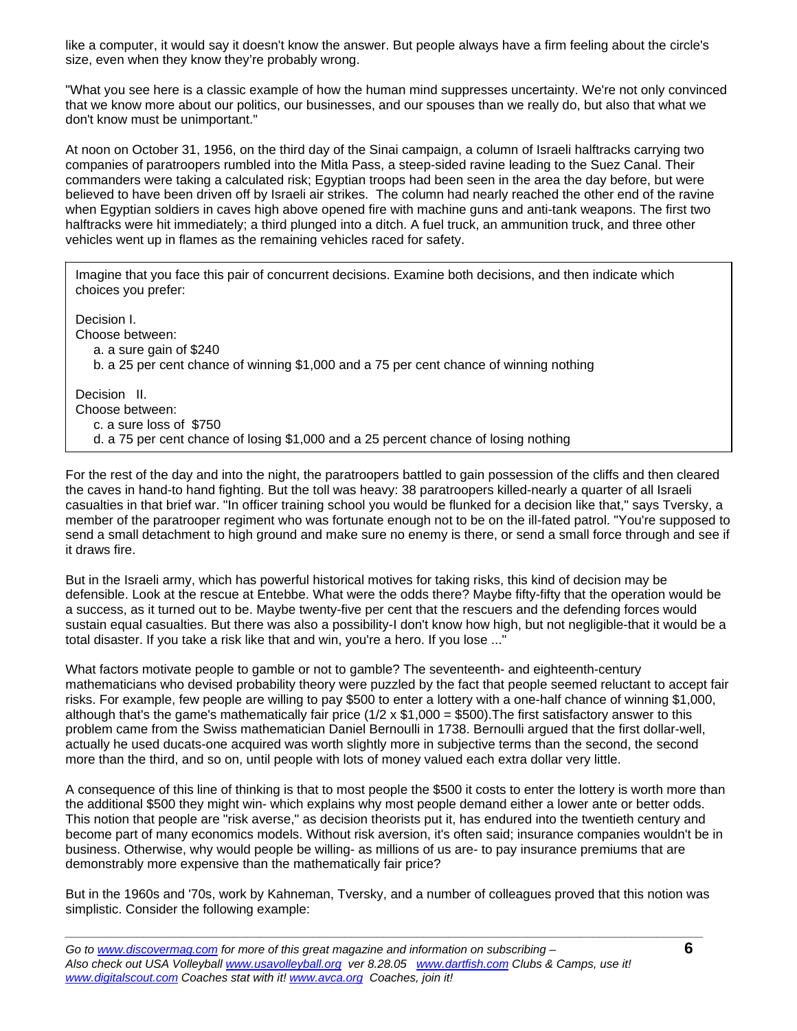like a computer, it would say it doesn't know the answer. But people always have a firm feeling about the circle's size, even when they know they're probably wrong.

"What you see here is a classic example of how the human mind suppresses uncertainty. We're not only convinced that we know more about our politics, our businesses, and our spouses than we really do, but also that what we don't know must be unimportant."

At noon on October 31, 1956, on the third day of the Sinai campaign, a column of Israeli halftracks carrying two companies of paratroopers rumbled into the Mitla Pass, a steep-sided ravine leading to the Suez Canal. Their commanders were taking a calculated risk; Egyptian troops had been seen in the area the day before, but were believed to have been driven off by Israeli air strikes. The column had nearly reached the other end of the ravine when Egyptian soldiers in caves high above opened fire with machine guns and anti-tank weapons. The first two halftracks were hit immediately; a third plunged into a ditch. A fuel truck, an ammunition truck, and three other vehicles went up in flames as the remaining vehicles raced for safety.

Imagine that you face this pair of concurrent decisions. Examine both decisions, and then indicate which choices you prefer:

Decision I. Choose between: a. a sure gain of \$240 b. a 25 per cent chance of winning \$1,000 and a 75 per cent chance of winning nothing Decision II. Choose between: c. a sure loss of \$750

d. a 75 per cent chance of losing \$1,000 and a 25 percent chance of losing nothing

For the rest of the day and into the night, the paratroopers battled to gain possession of the cliffs and then cleared the caves in hand-to hand fighting. But the toll was heavy: 38 paratroopers killed-nearly a quarter of all Israeli casualties in that brief war. "In officer training school you would be flunked for a decision like that," says Tversky, a member of the paratrooper regiment who was fortunate enough not to be on the ill-fated patrol. "You're supposed to send a small detachment to high ground and make sure no enemy is there, or send a small force through and see if it draws fire.

But in the Israeli army, which has powerful historical motives for taking risks, this kind of decision may be defensible. Look at the rescue at Entebbe. What were the odds there? Maybe fifty-fifty that the operation would be a success, as it turned out to be. Maybe twenty-five per cent that the rescuers and the defending forces would sustain equal casualties. But there was also a possibility-I don't know how high, but not negligible-that it would be a total disaster. If you take a risk like that and win, you're a hero. If you lose ..."

What factors motivate people to gamble or not to gamble? The seventeenth- and eighteenth-century mathematicians who devised probability theory were puzzled by the fact that people seemed reluctant to accept fair risks. For example, few people are willing to pay \$500 to enter a lottery with a one-half chance of winning \$1,000, although that's the game's mathematically fair price  $(1/2 \times $1,000 = $500)$ . The first satisfactory answer to this problem came from the Swiss mathematician Daniel Bernoulli in 1738. Bernoulli argued that the first dollar-well, actually he used ducats-one acquired was worth slightly more in subjective terms than the second, the second more than the third, and so on, until people with lots of money valued each extra dollar very little.

A consequence of this line of thinking is that to most people the \$500 it costs to enter the lottery is worth more than the additional \$500 they might win- which explains why most people demand either a lower ante or better odds. This notion that people are "risk averse," as decision theorists put it, has endured into the twentieth century and become part of many economics models. Without risk aversion, it's often said; insurance companies wouldn't be in business. Otherwise, why would people be willing- as millions of us are- to pay insurance premiums that are demonstrably more expensive than the mathematically fair price?

But in the 1960s and '70s, work by Kahneman, Tversky, and a number of colleagues proved that this notion was simplistic. Consider the following example: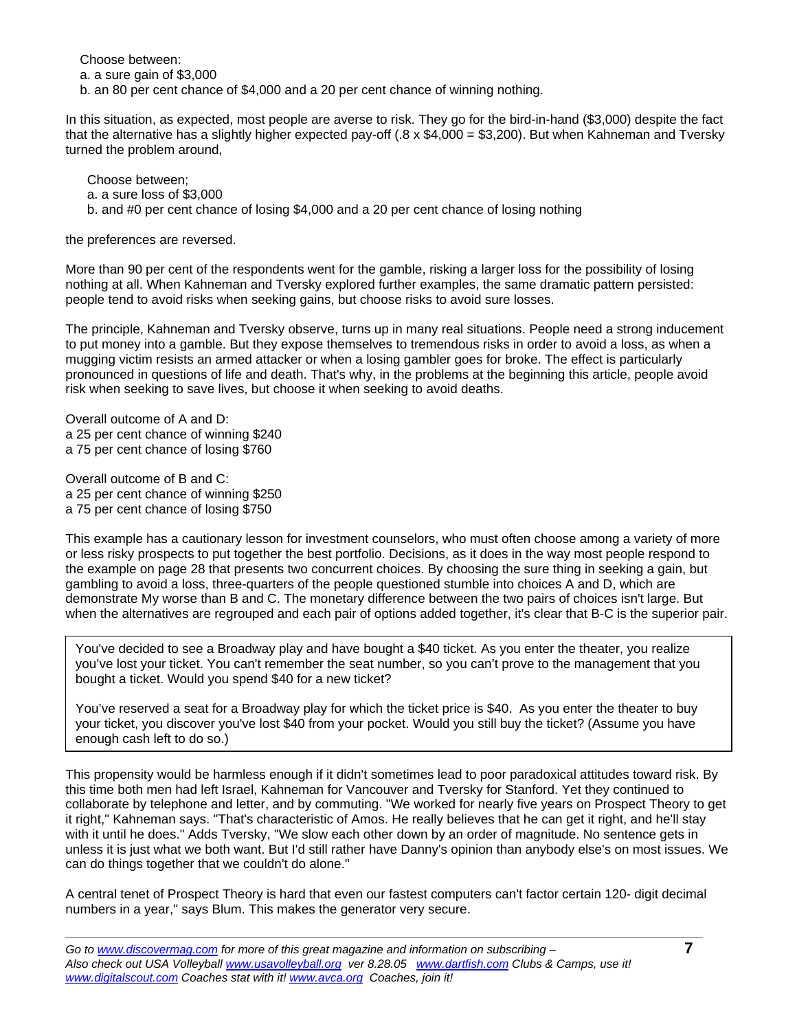Choose between:

a. a sure gain of \$3,000

b. an 80 per cent chance of \$4,000 and a 20 per cent chance of winning nothing.

In this situation, as expected, most people are averse to risk. They go for the bird-in-hand (\$3,000) despite the fact that the alternative has a slightly higher expected pay-off (.8 x  $$4,000 = $3,200$ ). But when Kahneman and Tversky turned the problem around,

 Choose between; a. a sure loss of \$3,000 b. and #0 per cent chance of losing \$4,000 and a 20 per cent chance of losing nothing

the preferences are reversed.

More than 90 per cent of the respondents went for the gamble, risking a larger loss for the possibility of losing nothing at all. When Kahneman and Tversky explored further examples, the same dramatic pattern persisted: people tend to avoid risks when seeking gains, but choose risks to avoid sure losses.

The principle, Kahneman and Tversky observe, turns up in many real situations. People need a strong inducement to put money into a gamble. But they expose themselves to tremendous risks in order to avoid a loss, as when a mugging victim resists an armed attacker or when a losing gambler goes for broke. The effect is particularly pronounced in questions of life and death. That's why, in the problems at the beginning this article, people avoid risk when seeking to save lives, but choose it when seeking to avoid deaths.

Overall outcome of A and D: a 25 per cent chance of winning \$240 a 75 per cent chance of losing \$760

Overall outcome of B and C: a 25 per cent chance of winning \$250 a 75 per cent chance of losing \$750

This example has a cautionary lesson for investment counselors, who must often choose among a variety of more or less risky prospects to put together the best portfolio. Decisions, as it does in the way most people respond to the example on page 28 that presents two concurrent choices. By choosing the sure thing in seeking a gain, but gambling to avoid a loss, three-quarters of the people questioned stumble into choices A and D, which are demonstrate My worse than B and C. The monetary difference between the two pairs of choices isn't large. But when the alternatives are regrouped and each pair of options added together, it's clear that B-C is the superior pair.

You've decided to see a Broadway play and have bought a \$40 ticket. As you enter the theater, you realize you've lost your ticket. You can't remember the seat number, so you can't prove to the management that you bought a ticket. Would you spend \$40 for a new ticket?

You've reserved a seat for a Broadway play for which the ticket price is \$40. As you enter the theater to buy your ticket, you discover you've lost \$40 from your pocket. Would you still buy the ticket? (Assume you have enough cash left to do so.)

This propensity would be harmless enough if it didn't sometimes lead to poor paradoxical attitudes toward risk. By this time both men had left Israel, Kahneman for Vancouver and Tversky for Stanford. Yet they continued to collaborate by telephone and letter, and by commuting. "We worked for nearly five years on Prospect Theory to get it right," Kahneman says. "That's characteristic of Amos. He really believes that he can get it right, and he'll stay with it until he does." Adds Tversky, "We slow each other down by an order of magnitude. No sentence gets in unless it is just what we both want. But I'd still rather have Danny's opinion than anybody else's on most issues. We can do things together that we couldn't do alone."

A central tenet of Prospect Theory is hard that even our fastest computers can't factor certain 120- digit decimal numbers in a year," says Blum. This makes the generator very secure.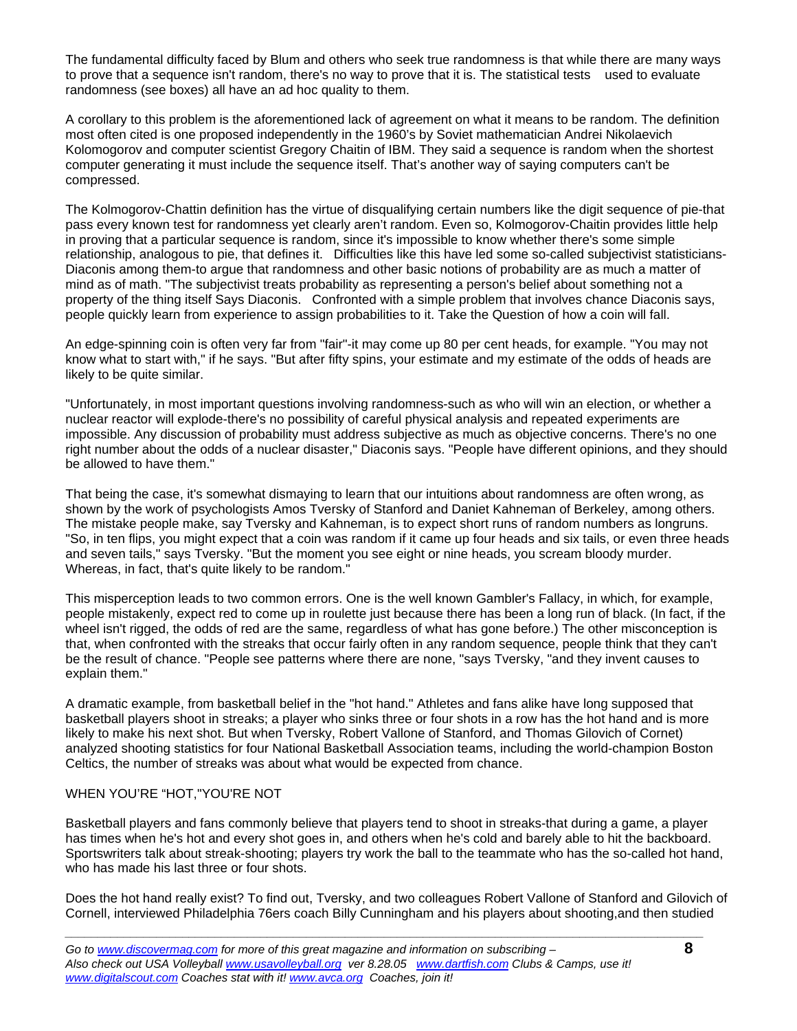The fundamental difficulty faced by Blum and others who seek true randomness is that while there are many ways to prove that a sequence isn't random, there's no way to prove that it is. The statistical tests used to evaluate randomness (see boxes) all have an ad hoc quality to them.

A corollary to this problem is the aforementioned lack of agreement on what it means to be random. The definition most often cited is one proposed independently in the 1960's by Soviet mathematician Andrei Nikolaevich Kolomogorov and computer scientist Gregory Chaitin of IBM. They said a sequence is random when the shortest computer generating it must include the sequence itself. That's another way of saying computers can't be compressed.

The Kolmogorov-Chattin definition has the virtue of disqualifying certain numbers like the digit sequence of pie-that pass every known test for randomness yet clearly aren't random. Even so, Kolmogorov-Chaitin provides little help in proving that a particular sequence is random, since it's impossible to know whether there's some simple relationship, analogous to pie, that defines it. Difficulties like this have led some so-called subjectivist statisticians-Diaconis among them-to argue that randomness and other basic notions of probability are as much a matter of mind as of math. "The subjectivist treats probability as representing a person's belief about something not a property of the thing itself Says Diaconis. Confronted with a simple problem that involves chance Diaconis says, people quickly learn from experience to assign probabilities to it. Take the Question of how a coin will fall.

An edge-spinning coin is often very far from "fair"-it may come up 80 per cent heads, for example. "You may not know what to start with," if he says. "But after fifty spins, your estimate and my estimate of the odds of heads are likely to be quite similar.

"Unfortunately, in most important questions involving randomness-such as who will win an election, or whether a nuclear reactor will explode-there's no possibility of careful physical analysis and repeated experiments are impossible. Any discussion of probability must address subjective as much as objective concerns. There's no one right number about the odds of a nuclear disaster," Diaconis says. "People have different opinions, and they should be allowed to have them."

That being the case, it's somewhat dismaying to learn that our intuitions about randomness are often wrong, as shown by the work of psychologists Amos Tversky of Stanford and Daniet Kahneman of Berkeley, among others. The mistake people make, say Tversky and Kahneman, is to expect short runs of random numbers as longruns. "So, in ten flips, you might expect that a coin was random if it came up four heads and six tails, or even three heads and seven tails," says Tversky. "But the moment you see eight or nine heads, you scream bloody murder. Whereas, in fact, that's quite likely to be random."

This misperception leads to two common errors. One is the well known Gambler's Fallacy, in which, for example, people mistakenly, expect red to come up in roulette just because there has been a long run of black. (In fact, if the wheel isn't rigged, the odds of red are the same, regardless of what has gone before.) The other misconception is that, when confronted with the streaks that occur fairly often in any random sequence, people think that they can't be the result of chance. "People see patterns where there are none, "says Tversky, "and they invent causes to explain them."

A dramatic example, from basketball belief in the "hot hand." Athletes and fans alike have long supposed that basketball players shoot in streaks; a player who sinks three or four shots in a row has the hot hand and is more likely to make his next shot. But when Tversky, Robert Vallone of Stanford, and Thomas Gilovich of Cornet) analyzed shooting statistics for four National Basketball Association teams, including the world-champion Boston Celtics, the number of streaks was about what would be expected from chance.

## WHEN YOU'RE "HOT,"YOU'RE NOT

Basketball players and fans commonly believe that players tend to shoot in streaks-that during a game, a player has times when he's hot and every shot goes in, and others when he's cold and barely able to hit the backboard. Sportswriters talk about streak-shooting; players try work the ball to the teammate who has the so-called hot hand, who has made his last three or four shots.

Does the hot hand really exist? To find out, Tversky, and two colleagues Robert Vallone of Stanford and Gilovich of Cornell, interviewed Philadelphia 76ers coach Billy Cunningham and his players about shooting,and then studied